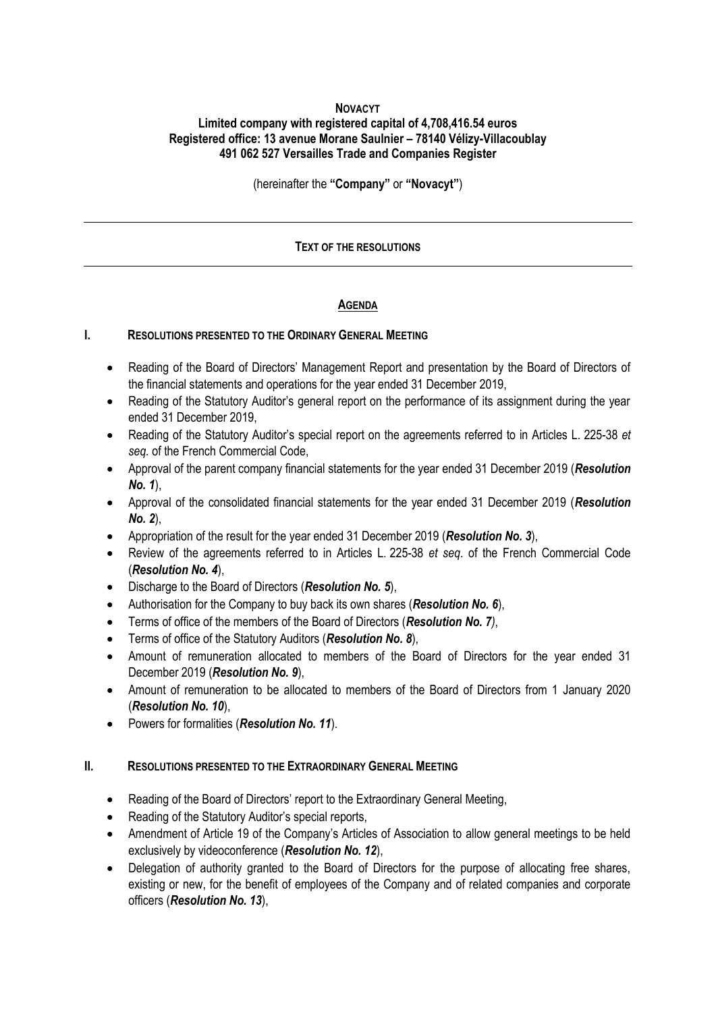## **NOVACYT**

# **Limited company with registered capital of 4,708,416.54 euros Registered office: 13 avenue Morane Saulnier – 78140 Vélizy-Villacoublay 491 062 527 Versailles Trade and Companies Register**

(hereinafter the **"Company"** or **"Novacyt"**)

## **TEXT OF THE RESOLUTIONS**

## **AGENDA**

#### **I. RESOLUTIONS PRESENTED TO THE ORDINARY GENERAL MEETING**

- Reading of the Board of Directors' Management Report and presentation by the Board of Directors of the financial statements and operations for the year ended 31 December 2019,
- Reading of the Statutory Auditor's general report on the performance of its assignment during the year ended 31 December 2019,
- Reading of the Statutory Auditor's special report on the agreements referred to in Articles L. 225-38 *et seq.* of the French Commercial Code,
- Approval of the parent company financial statements for the year ended 31 December 2019 (*Resolution No. 1*),
- Approval of the consolidated financial statements for the year ended 31 December 2019 (*Resolution No. 2*),
- Appropriation of the result for the year ended 31 December 2019 (*Resolution No. 3*),
- Review of the agreements referred to in Articles L. 225-38 *et seq*. of the French Commercial Code (*Resolution No. 4*),
- Discharge to the Board of Directors (*Resolution No. 5*),
- Authorisation for the Company to buy back its own shares (*Resolution No. 6*),
- Terms of office of the members of the Board of Directors (*Resolution No. 7)*,
- Terms of office of the Statutory Auditors (*Resolution No. 8*),
- Amount of remuneration allocated to members of the Board of Directors for the year ended 31 December 2019 (*Resolution No. 9*),
- Amount of remuneration to be allocated to members of the Board of Directors from 1 January 2020 (*Resolution No. 10*),
- Powers for formalities (*Resolution No. 11*).

## **II. RESOLUTIONS PRESENTED TO THE EXTRAORDINARY GENERAL MEETING**

- Reading of the Board of Directors' report to the Extraordinary General Meeting,
- Reading of the Statutory Auditor's special reports,
- Amendment of Article 19 of the Company's Articles of Association to allow general meetings to be held exclusively by videoconference (*Resolution No. 12*),
- Delegation of authority granted to the Board of Directors for the purpose of allocating free shares, existing or new, for the benefit of employees of the Company and of related companies and corporate officers (*Resolution No. 13*),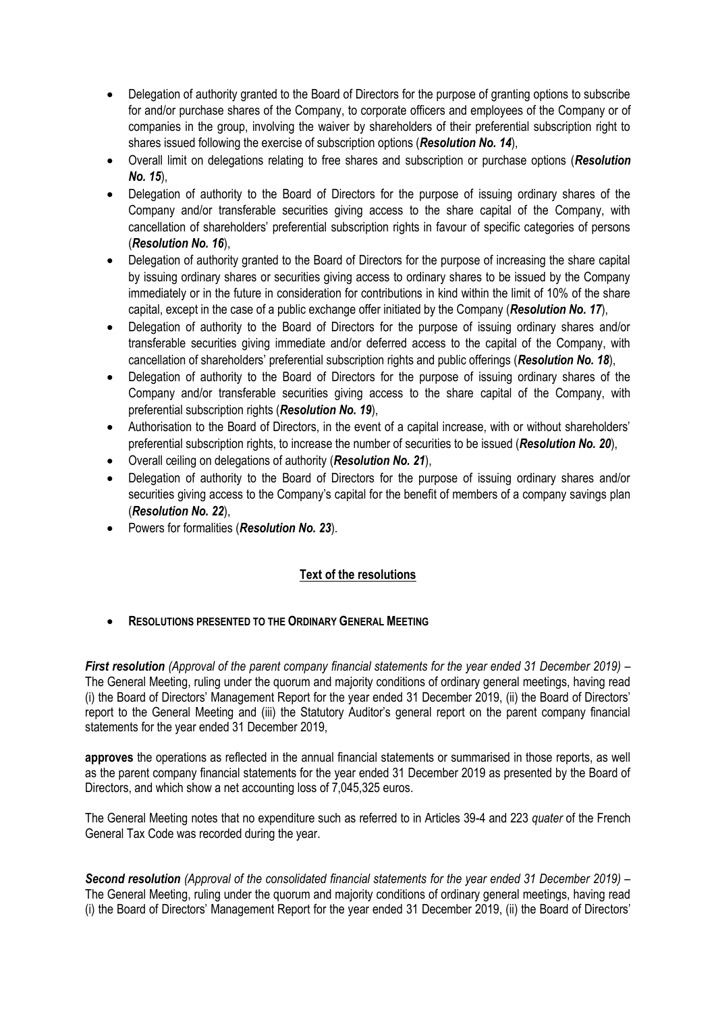- Delegation of authority granted to the Board of Directors for the purpose of granting options to subscribe for and/or purchase shares of the Company, to corporate officers and employees of the Company or of companies in the group, involving the waiver by shareholders of their preferential subscription right to shares issued following the exercise of subscription options (*Resolution No. 14*),
- Overall limit on delegations relating to free shares and subscription or purchase options (*Resolution No. 15*),
- Delegation of authority to the Board of Directors for the purpose of issuing ordinary shares of the Company and/or transferable securities giving access to the share capital of the Company, with cancellation of shareholders' preferential subscription rights in favour of specific categories of persons (*Resolution No. 16*),
- Delegation of authority granted to the Board of Directors for the purpose of increasing the share capital by issuing ordinary shares or securities giving access to ordinary shares to be issued by the Company immediately or in the future in consideration for contributions in kind within the limit of 10% of the share capital, except in the case of a public exchange offer initiated by the Company (*Resolution No. 17*),
- Delegation of authority to the Board of Directors for the purpose of issuing ordinary shares and/or transferable securities giving immediate and/or deferred access to the capital of the Company, with cancellation of shareholders' preferential subscription rights and public offerings (*Resolution No. 18*),
- Delegation of authority to the Board of Directors for the purpose of issuing ordinary shares of the Company and/or transferable securities giving access to the share capital of the Company, with preferential subscription rights (*Resolution No. 19*),
- Authorisation to the Board of Directors, in the event of a capital increase, with or without shareholders' preferential subscription rights, to increase the number of securities to be issued (*Resolution No. 20*),
- Overall ceiling on delegations of authority (*Resolution No. 21*),
- Delegation of authority to the Board of Directors for the purpose of issuing ordinary shares and/or securities giving access to the Company's capital for the benefit of members of a company savings plan (*Resolution No. 22*),
- Powers for formalities (*Resolution No. 23*).

## **Text of the resolutions**

## • **RESOLUTIONS PRESENTED TO THE ORDINARY GENERAL MEETING**

*First resolution (Approval of the parent company financial statements for the year ended 31 December 2019)* – The General Meeting, ruling under the quorum and majority conditions of ordinary general meetings, having read (i) the Board of Directors' Management Report for the year ended 31 December 2019, (ii) the Board of Directors' report to the General Meeting and (iii) the Statutory Auditor's general report on the parent company financial statements for the year ended 31 December 2019,

**approves** the operations as reflected in the annual financial statements or summarised in those reports, as well as the parent company financial statements for the year ended 31 December 2019 as presented by the Board of Directors, and which show a net accounting loss of 7,045,325 euros.

The General Meeting notes that no expenditure such as referred to in Articles 39-4 and 223 *quater* of the French General Tax Code was recorded during the year.

*Second resolution (Approval of the consolidated financial statements for the year ended 31 December 2019)* – The General Meeting, ruling under the quorum and majority conditions of ordinary general meetings, having read (i) the Board of Directors' Management Report for the year ended 31 December 2019, (ii) the Board of Directors'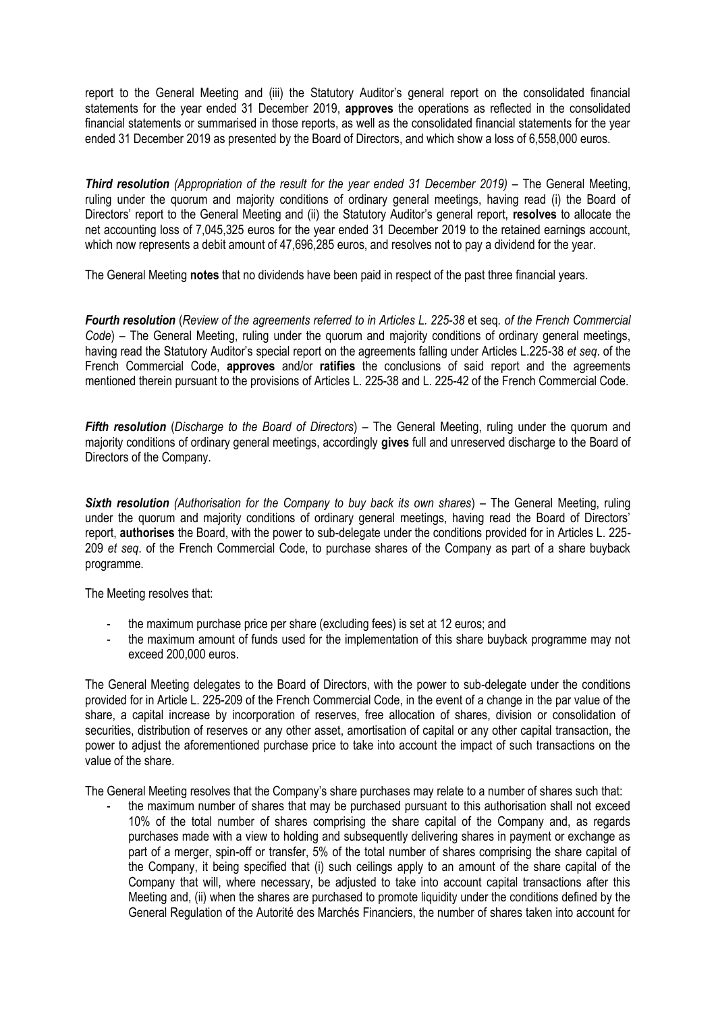report to the General Meeting and (iii) the Statutory Auditor's general report on the consolidated financial statements for the year ended 31 December 2019, **approves** the operations as reflected in the consolidated financial statements or summarised in those reports, as well as the consolidated financial statements for the year ended 31 December 2019 as presented by the Board of Directors, and which show a loss of 6,558,000 euros.

*Third resolution (Appropriation of the result for the year ended 31 December 2019)* – The General Meeting, ruling under the quorum and majority conditions of ordinary general meetings, having read (i) the Board of Directors' report to the General Meeting and (ii) the Statutory Auditor's general report, **resolves** to allocate the net accounting loss of 7,045,325 euros for the year ended 31 December 2019 to the retained earnings account, which now represents a debit amount of 47,696,285 euros, and resolves not to pay a dividend for the year.

The General Meeting **notes** that no dividends have been paid in respect of the past three financial years.

*Fourth resolution* (*Review of the agreements referred to in Articles L. 225-38* et seq*. of the French Commercial Code*) – The General Meeting, ruling under the quorum and majority conditions of ordinary general meetings, having read the Statutory Auditor's special report on the agreements falling under Articles L.225-38 *et seq*. of the French Commercial Code, **approves** and/or **ratifies** the conclusions of said report and the agreements mentioned therein pursuant to the provisions of Articles L. 225-38 and L. 225-42 of the French Commercial Code.

*Fifth resolution* (*Discharge to the Board of Directors*) – The General Meeting, ruling under the quorum and majority conditions of ordinary general meetings, accordingly **gives** full and unreserved discharge to the Board of Directors of the Company.

*Sixth resolution (Authorisation for the Company to buy back its own shares*) – The General Meeting, ruling under the quorum and majority conditions of ordinary general meetings, having read the Board of Directors' report, **authorises** the Board, with the power to sub-delegate under the conditions provided for in Articles L. 225- 209 *et seq*. of the French Commercial Code, to purchase shares of the Company as part of a share buyback programme.

The Meeting resolves that:

- the maximum purchase price per share (excluding fees) is set at 12 euros; and
- the maximum amount of funds used for the implementation of this share buyback programme may not exceed 200,000 euros.

The General Meeting delegates to the Board of Directors, with the power to sub-delegate under the conditions provided for in Article L. 225-209 of the French Commercial Code, in the event of a change in the par value of the share, a capital increase by incorporation of reserves, free allocation of shares, division or consolidation of securities, distribution of reserves or any other asset, amortisation of capital or any other capital transaction, the power to adjust the aforementioned purchase price to take into account the impact of such transactions on the value of the share.

The General Meeting resolves that the Company's share purchases may relate to a number of shares such that:

- the maximum number of shares that may be purchased pursuant to this authorisation shall not exceed 10% of the total number of shares comprising the share capital of the Company and, as regards purchases made with a view to holding and subsequently delivering shares in payment or exchange as part of a merger, spin-off or transfer, 5% of the total number of shares comprising the share capital of the Company, it being specified that (i) such ceilings apply to an amount of the share capital of the Company that will, where necessary, be adjusted to take into account capital transactions after this Meeting and, (ii) when the shares are purchased to promote liquidity under the conditions defined by the General Regulation of the Autorité des Marchés Financiers, the number of shares taken into account for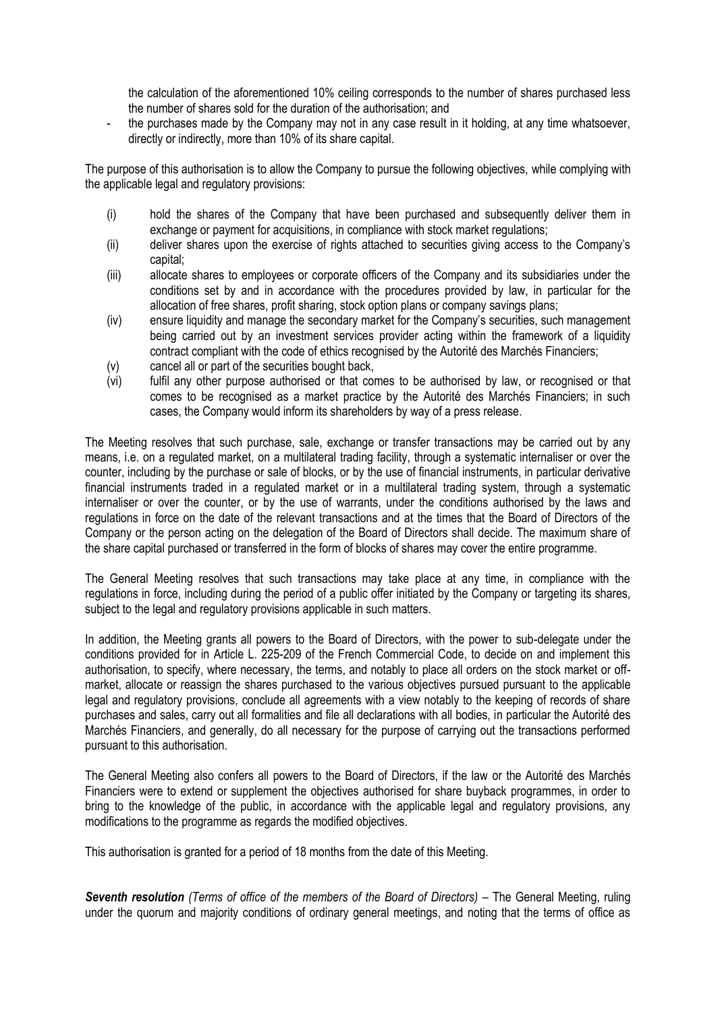the calculation of the aforementioned 10% ceiling corresponds to the number of shares purchased less the number of shares sold for the duration of the authorisation; and

the purchases made by the Company may not in any case result in it holding, at any time whatsoever, directly or indirectly, more than 10% of its share capital.

The purpose of this authorisation is to allow the Company to pursue the following objectives, while complying with the applicable legal and regulatory provisions:

- (i) hold the shares of the Company that have been purchased and subsequently deliver them in exchange or payment for acquisitions, in compliance with stock market regulations;
- (ii) deliver shares upon the exercise of rights attached to securities giving access to the Company's capital;
- (iii) allocate shares to employees or corporate officers of the Company and its subsidiaries under the conditions set by and in accordance with the procedures provided by law, in particular for the allocation of free shares, profit sharing, stock option plans or company savings plans;
- (iv) ensure liquidity and manage the secondary market for the Company's securities, such management being carried out by an investment services provider acting within the framework of a liquidity contract compliant with the code of ethics recognised by the Autorité des Marchés Financiers;
- (v) cancel all or part of the securities bought back,
- (vi) fulfil any other purpose authorised or that comes to be authorised by law, or recognised or that comes to be recognised as a market practice by the Autorité des Marchés Financiers; in such cases, the Company would inform its shareholders by way of a press release.

The Meeting resolves that such purchase, sale, exchange or transfer transactions may be carried out by any means, i.e. on a regulated market, on a multilateral trading facility, through a systematic internaliser or over the counter, including by the purchase or sale of blocks, or by the use of financial instruments, in particular derivative financial instruments traded in a regulated market or in a multilateral trading system, through a systematic internaliser or over the counter, or by the use of warrants, under the conditions authorised by the laws and regulations in force on the date of the relevant transactions and at the times that the Board of Directors of the Company or the person acting on the delegation of the Board of Directors shall decide. The maximum share of the share capital purchased or transferred in the form of blocks of shares may cover the entire programme.

The General Meeting resolves that such transactions may take place at any time, in compliance with the regulations in force, including during the period of a public offer initiated by the Company or targeting its shares, subject to the legal and regulatory provisions applicable in such matters.

In addition, the Meeting grants all powers to the Board of Directors, with the power to sub-delegate under the conditions provided for in Article L. 225-209 of the French Commercial Code, to decide on and implement this authorisation, to specify, where necessary, the terms, and notably to place all orders on the stock market or offmarket, allocate or reassign the shares purchased to the various objectives pursued pursuant to the applicable legal and regulatory provisions, conclude all agreements with a view notably to the keeping of records of share purchases and sales, carry out all formalities and file all declarations with all bodies, in particular the Autorité des Marchés Financiers, and generally, do all necessary for the purpose of carrying out the transactions performed pursuant to this authorisation.

The General Meeting also confers all powers to the Board of Directors, if the law or the Autorité des Marchés Financiers were to extend or supplement the objectives authorised for share buyback programmes, in order to bring to the knowledge of the public, in accordance with the applicable legal and regulatory provisions, any modifications to the programme as regards the modified objectives.

This authorisation is granted for a period of 18 months from the date of this Meeting.

*Seventh resolution (Terms of office of the members of the Board of Directors)* – The General Meeting, ruling under the quorum and majority conditions of ordinary general meetings, and noting that the terms of office as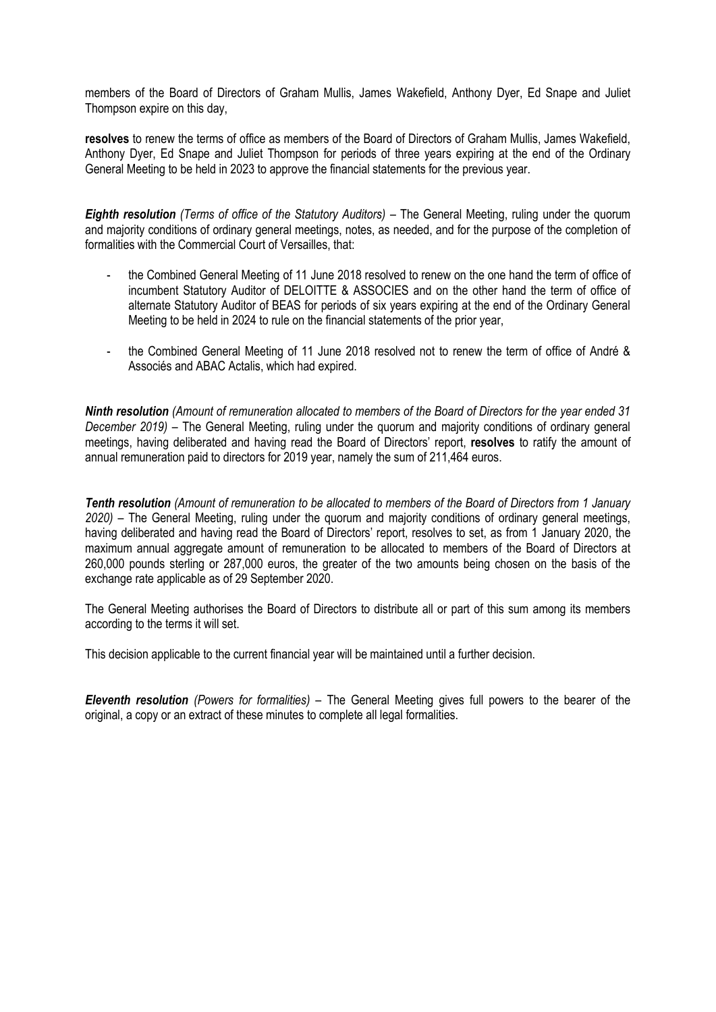members of the Board of Directors of Graham Mullis, James Wakefield, Anthony Dyer, Ed Snape and Juliet Thompson expire on this day,

**resolves** to renew the terms of office as members of the Board of Directors of Graham Mullis, James Wakefield, Anthony Dyer, Ed Snape and Juliet Thompson for periods of three years expiring at the end of the Ordinary General Meeting to be held in 2023 to approve the financial statements for the previous year.

*Eighth resolution (Terms of office of the Statutory Auditors)* – The General Meeting, ruling under the quorum and majority conditions of ordinary general meetings, notes, as needed, and for the purpose of the completion of formalities with the Commercial Court of Versailles, that:

- the Combined General Meeting of 11 June 2018 resolved to renew on the one hand the term of office of incumbent Statutory Auditor of DELOITTE & ASSOCIES and on the other hand the term of office of alternate Statutory Auditor of BEAS for periods of six years expiring at the end of the Ordinary General Meeting to be held in 2024 to rule on the financial statements of the prior year,
- the Combined General Meeting of 11 June 2018 resolved not to renew the term of office of André & Associés and ABAC Actalis, which had expired.

*Ninth resolution (Amount of remuneration allocated to members of the Board of Directors for the year ended 31 December 2019)* – The General Meeting, ruling under the quorum and majority conditions of ordinary general meetings, having deliberated and having read the Board of Directors' report, **resolves** to ratify the amount of annual remuneration paid to directors for 2019 year, namely the sum of 211,464 euros.

*Tenth resolution (Amount of remuneration to be allocated to members of the Board of Directors from 1 January 2020)* – The General Meeting, ruling under the quorum and majority conditions of ordinary general meetings, having deliberated and having read the Board of Directors' report, resolves to set, as from 1 January 2020, the maximum annual aggregate amount of remuneration to be allocated to members of the Board of Directors at 260,000 pounds sterling or 287,000 euros, the greater of the two amounts being chosen on the basis of the exchange rate applicable as of 29 September 2020.

The General Meeting authorises the Board of Directors to distribute all or part of this sum among its members according to the terms it will set.

This decision applicable to the current financial year will be maintained until a further decision.

*Eleventh resolution (Powers for formalities) –* The General Meeting gives full powers to the bearer of the original, a copy or an extract of these minutes to complete all legal formalities.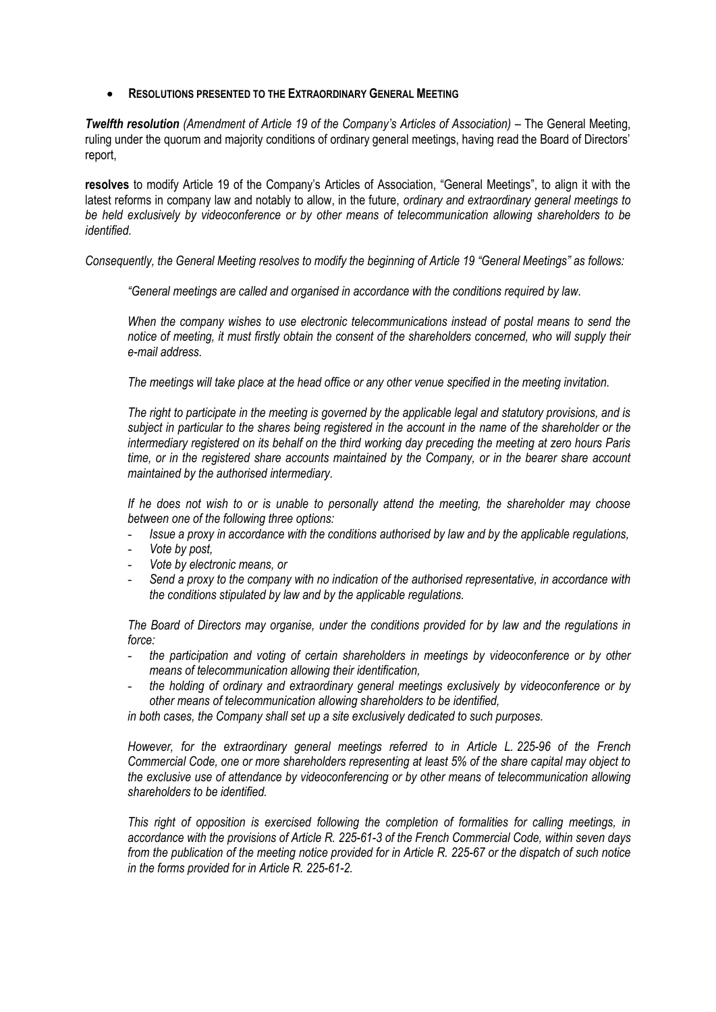#### • **RESOLUTIONS PRESENTED TO THE EXTRAORDINARY GENERAL MEETING**

*Twelfth resolution (Amendment of Article 19 of the Company's Articles of Association)* – The General Meeting, ruling under the quorum and majority conditions of ordinary general meetings, having read the Board of Directors' report,

**resolves** to modify Article 19 of the Company's Articles of Association, "General Meetings", to align it with the latest reforms in company law and notably to allow, in the future, *ordinary and extraordinary general meetings to be held exclusively by videoconference or by other means of telecommunication allowing shareholders to be identified.*

*Consequently, the General Meeting resolves to modify the beginning of Article 19 "General Meetings" as follows:* 

*"General meetings are called and organised in accordance with the conditions required by law.*

*When the company wishes to use electronic telecommunications instead of postal means to send the notice of meeting, it must firstly obtain the consent of the shareholders concerned, who will supply their e-mail address.*

*The meetings will take place at the head office or any other venue specified in the meeting invitation.*

*The right to participate in the meeting is governed by the applicable legal and statutory provisions, and is subject in particular to the shares being registered in the account in the name of the shareholder or the intermediary registered on its behalf on the third working day preceding the meeting at zero hours Paris time, or in the registered share accounts maintained by the Company, or in the bearer share account maintained by the authorised intermediary.*

*If he does not wish to or is unable to personally attend the meeting, the shareholder may choose between one of the following three options:*

- *Issue a proxy in accordance with the conditions authorised by law and by the applicable regulations,*
- *Vote by post,*
- *Vote by electronic means, or*
- *Send a proxy to the company with no indication of the authorised representative, in accordance with the conditions stipulated by law and by the applicable regulations.*

*The Board of Directors may organise, under the conditions provided for by law and the regulations in force:*

- *the participation and voting of certain shareholders in meetings by videoconference or by other means of telecommunication allowing their identification,*
- *the holding of ordinary and extraordinary general meetings exclusively by videoconference or by other means of telecommunication allowing shareholders to be identified,*

*in both cases, the Company shall set up a site exclusively dedicated to such purposes.*

*However, for the extraordinary general meetings referred to in Article L. 225-96 of the French Commercial Code, one or more shareholders representing at least 5% of the share capital may object to the exclusive use of attendance by videoconferencing or by other means of telecommunication allowing shareholders to be identified.*

*This right of opposition is exercised following the completion of formalities for calling meetings, in accordance with the provisions of Article R. 225-61-3 of the French Commercial Code, within seven days from the publication of the meeting notice provided for in Article R. 225-67 or the dispatch of such notice in the forms provided for in Article R. 225-61-2.*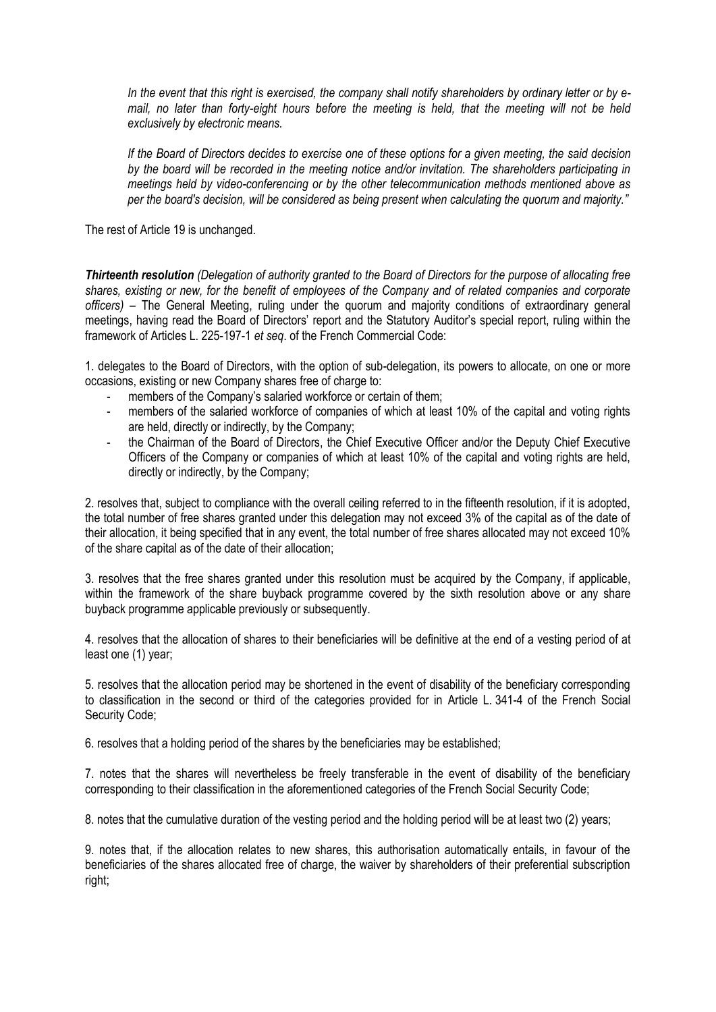*In the event that this right is exercised, the company shall notify shareholders by ordinary letter or by email, no later than forty-eight hours before the meeting is held, that the meeting will not be held exclusively by electronic means.*

*If the Board of Directors decides to exercise one of these options for a given meeting, the said decision by the board will be recorded in the meeting notice and/or invitation. The shareholders participating in meetings held by video-conferencing or by the other telecommunication methods mentioned above as per the board's decision, will be considered as being present when calculating the quorum and majority."*

The rest of Article 19 is unchanged.

*Thirteenth resolution (Delegation of authority granted to the Board of Directors for the purpose of allocating free shares, existing or new, for the benefit of employees of the Company and of related companies and corporate officers)* – The General Meeting, ruling under the quorum and majority conditions of extraordinary general meetings, having read the Board of Directors' report and the Statutory Auditor's special report, ruling within the framework of Articles L. 225-197-1 *et seq*. of the French Commercial Code:

1. delegates to the Board of Directors, with the option of sub-delegation, its powers to allocate, on one or more occasions, existing or new Company shares free of charge to:

- members of the Company's salaried workforce or certain of them;
- members of the salaried workforce of companies of which at least 10% of the capital and voting rights are held, directly or indirectly, by the Company;
- the Chairman of the Board of Directors, the Chief Executive Officer and/or the Deputy Chief Executive Officers of the Company or companies of which at least 10% of the capital and voting rights are held, directly or indirectly, by the Company;

2. resolves that, subject to compliance with the overall ceiling referred to in the fifteenth resolution, if it is adopted, the total number of free shares granted under this delegation may not exceed 3% of the capital as of the date of their allocation, it being specified that in any event, the total number of free shares allocated may not exceed 10% of the share capital as of the date of their allocation;

3. resolves that the free shares granted under this resolution must be acquired by the Company, if applicable, within the framework of the share buyback programme covered by the sixth resolution above or any share buyback programme applicable previously or subsequently.

4. resolves that the allocation of shares to their beneficiaries will be definitive at the end of a vesting period of at least one (1) year;

5. resolves that the allocation period may be shortened in the event of disability of the beneficiary corresponding to classification in the second or third of the categories provided for in Article L. [341-4 of the French Social](https://www.legifrance.gouv.fr/affichCodeArticle.do?cidTexte=LEGITEXT000006073189&idArticle=LEGIARTI000006742597&dateTexte=&categorieLien=cid)  [Security Code;](https://www.legifrance.gouv.fr/affichCodeArticle.do?cidTexte=LEGITEXT000006073189&idArticle=LEGIARTI000006742597&dateTexte=&categorieLien=cid)

6. resolves that a holding period of the shares by the beneficiaries may be established;

7. notes that the shares will nevertheless be freely transferable in the event of disability of the beneficiary corresponding to their classification in the aforementioned categories of the French Social Security Code;

8. notes that the cumulative duration of the vesting period and the holding period will be at least two (2) years;

9. notes that, if the allocation relates to new shares, this authorisation automatically entails, in favour of the beneficiaries of the shares allocated free of charge, the waiver by shareholders of their preferential subscription right;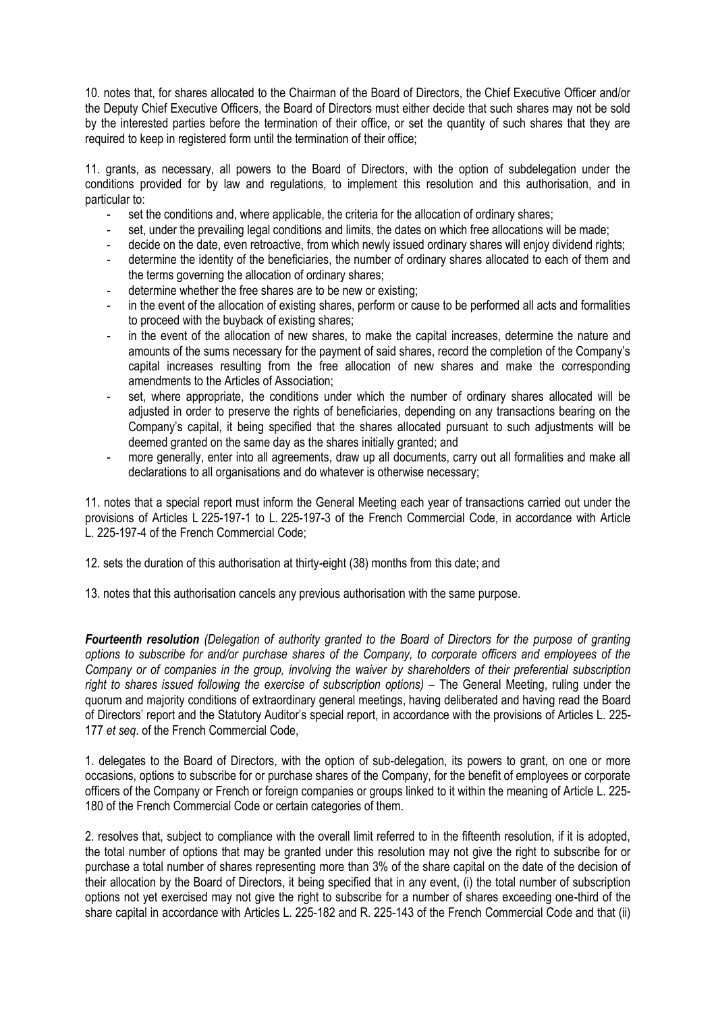10. notes that, for shares allocated to the Chairman of the Board of Directors, the Chief Executive Officer and/or the Deputy Chief Executive Officers, the Board of Directors must either decide that such shares may not be sold by the interested parties before the termination of their office, or set the quantity of such shares that they are required to keep in registered form until the termination of their office;

11. grants, as necessary, all powers to the Board of Directors, with the option of subdelegation under the conditions provided for by law and regulations, to implement this resolution and this authorisation, and in particular to:

- set the conditions and, where applicable, the criteria for the allocation of ordinary shares;
- set, under the prevailing legal conditions and limits, the dates on which free allocations will be made;
- decide on the date, even retroactive, from which newly issued ordinary shares will enjoy dividend rights;
- determine the identity of the beneficiaries, the number of ordinary shares allocated to each of them and the terms governing the allocation of ordinary shares;
- determine whether the free shares are to be new or existing;
- in the event of the allocation of existing shares, perform or cause to be performed all acts and formalities to proceed with the buyback of existing shares;
- in the event of the allocation of new shares, to make the capital increases, determine the nature and amounts of the sums necessary for the payment of said shares, record the completion of the Company's capital increases resulting from the free allocation of new shares and make the corresponding amendments to the Articles of Association;
- set, where appropriate, the conditions under which the number of ordinary shares allocated will be adjusted in order to preserve the rights of beneficiaries, depending on any transactions bearing on the Company's capital, it being specified that the shares allocated pursuant to such adjustments will be deemed granted on the same day as the shares initially granted; and
- more generally, enter into all agreements, draw up all documents, carry out all formalities and make all declarations to all organisations and do whatever is otherwise necessary;

11. notes that a special report must inform the General Meeting each year of transactions carried out under the provisions of Articles L 225-197-1 to L. 225-197-3 of the French Commercial Code, in accordance with Article L. 225-197-4 of the French Commercial Code;

12, sets the duration of this authorisation at thirty-eight (38) months from this date; and

13. notes that this authorisation cancels any previous authorisation with the same purpose.

*Fourteenth resolution (Delegation of authority granted to the Board of Directors for the purpose of granting options to subscribe for and/or purchase shares of the Company, to corporate officers and employees of the Company or of companies in the group, involving the waiver by shareholders of their preferential subscription right to shares issued following the exercise of subscription options)* – The General Meeting, ruling under the quorum and majority conditions of extraordinary general meetings, having deliberated and having read the Board of Directors' report and the Statutory Auditor's special report, in accordance with the provisions of Articles L. 225- 177 *et seq*. of the French Commercial Code,

1. delegates to the Board of Directors, with the option of sub-delegation, its powers to grant, on one or more occasions, options to subscribe for or purchase shares of the Company, for the benefit of employees or corporate officers of the Company or French or foreign companies or groups linked to it within the meaning of Article L. 225- 180 of the French Commercial Code or certain categories of them.

2. resolves that, subject to compliance with the overall limit referred to in the fifteenth resolution, if it is adopted, the total number of options that may be granted under this resolution may not give the right to subscribe for or purchase a total number of shares representing more than 3% of the share capital on the date of the decision of their allocation by the Board of Directors, it being specified that in any event, (i) the total number of subscription options not yet exercised may not give the right to subscribe for a number of shares exceeding one-third of the share capital in accordance with Articles L. 225-182 and R. 225-143 of the French Commercial Code and that (ii)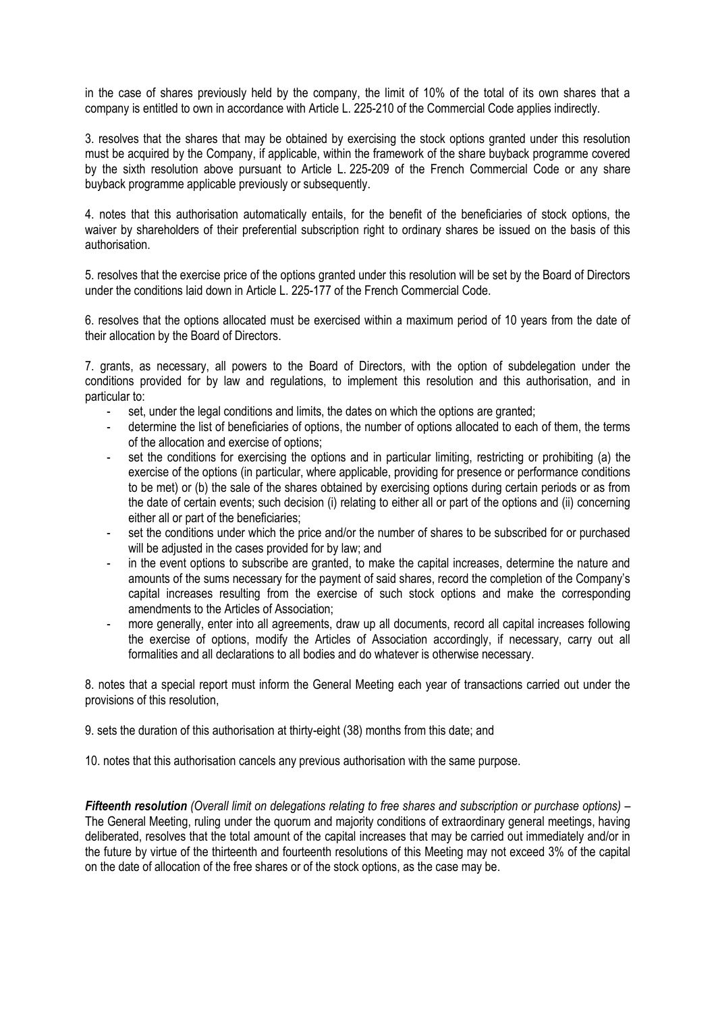in the case of shares previously held by the company, the limit of 10% of the total of its own shares that a company is entitled to own in accordance with Article L. 225-210 of the Commercial Code applies indirectly.

3. resolves that the shares that may be obtained by exercising the stock options granted under this resolution must be acquired by the Company, if applicable, within the framework of the share buyback programme covered by the sixth resolution above pursuant to Article L. 225-209 of the French Commercial Code or any share buyback programme applicable previously or subsequently.

4. notes that this authorisation automatically entails, for the benefit of the beneficiaries of stock options, the waiver by shareholders of their preferential subscription right to ordinary shares be issued on the basis of this authorisation.

5. resolves that the exercise price of the options granted under this resolution will be set by the Board of Directors under the conditions laid down in Article L. 225-177 of the French Commercial Code.

6. resolves that the options allocated must be exercised within a maximum period of 10 years from the date of their allocation by the Board of Directors.

7. grants, as necessary, all powers to the Board of Directors, with the option of subdelegation under the conditions provided for by law and regulations, to implement this resolution and this authorisation, and in particular to:

- set, under the legal conditions and limits, the dates on which the options are granted;
- determine the list of beneficiaries of options, the number of options allocated to each of them, the terms of the allocation and exercise of options;
- set the conditions for exercising the options and in particular limiting, restricting or prohibiting (a) the exercise of the options (in particular, where applicable, providing for presence or performance conditions to be met) or (b) the sale of the shares obtained by exercising options during certain periods or as from the date of certain events; such decision (i) relating to either all or part of the options and (ii) concerning either all or part of the beneficiaries;
- set the conditions under which the price and/or the number of shares to be subscribed for or purchased will be adjusted in the cases provided for by law; and
- in the event options to subscribe are granted, to make the capital increases, determine the nature and amounts of the sums necessary for the payment of said shares, record the completion of the Company's capital increases resulting from the exercise of such stock options and make the corresponding amendments to the Articles of Association;
- more generally, enter into all agreements, draw up all documents, record all capital increases following the exercise of options, modify the Articles of Association accordingly, if necessary, carry out all formalities and all declarations to all bodies and do whatever is otherwise necessary.

8. notes that a special report must inform the General Meeting each year of transactions carried out under the provisions of this resolution,

9. sets the duration of this authorisation at thirty-eight (38) months from this date; and

10. notes that this authorisation cancels any previous authorisation with the same purpose.

*Fifteenth resolution (Overall limit on delegations relating to free shares and subscription or purchase options)* – The General Meeting, ruling under the quorum and majority conditions of extraordinary general meetings, having deliberated, resolves that the total amount of the capital increases that may be carried out immediately and/or in the future by virtue of the thirteenth and fourteenth resolutions of this Meeting may not exceed 3% of the capital on the date of allocation of the free shares or of the stock options, as the case may be.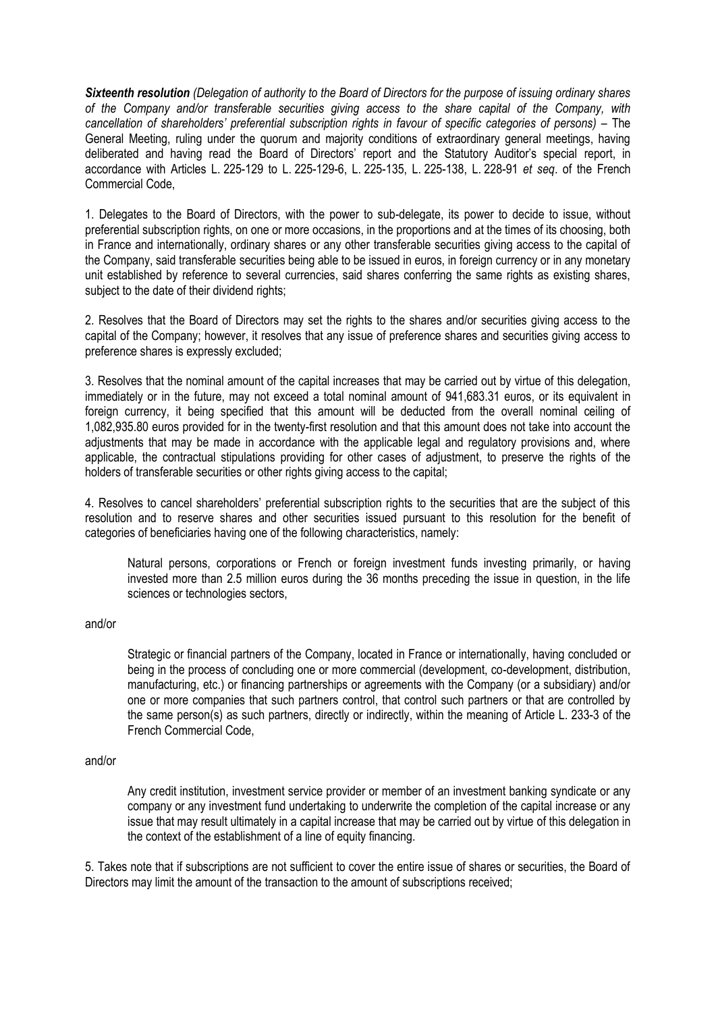*Sixteenth resolution (Delegation of authority to the Board of Directors for the purpose of issuing ordinary shares of the Company and/or transferable securities giving access to the share capital of the Company, with cancellation of shareholders' preferential subscription rights in favour of specific categories of persons) –* The General Meeting, ruling under the quorum and majority conditions of extraordinary general meetings, having deliberated and having read the Board of Directors' report and the Statutory Auditor's special report, in accordance with Articles L. 225-129 to L. 225-129-6, L. 225-135, L. 225-138, L. 228-91 *et seq*. of the French Commercial Code,

1. Delegates to the Board of Directors, with the power to sub-delegate, its power to decide to issue, without preferential subscription rights, on one or more occasions, in the proportions and at the times of its choosing, both in France and internationally, ordinary shares or any other transferable securities giving access to the capital of the Company, said transferable securities being able to be issued in euros, in foreign currency or in any monetary unit established by reference to several currencies, said shares conferring the same rights as existing shares, subject to the date of their dividend rights;

2. Resolves that the Board of Directors may set the rights to the shares and/or securities giving access to the capital of the Company; however, it resolves that any issue of preference shares and securities giving access to preference shares is expressly excluded;

3. Resolves that the nominal amount of the capital increases that may be carried out by virtue of this delegation, immediately or in the future, may not exceed a total nominal amount of 941,683.31 euros, or its equivalent in foreign currency, it being specified that this amount will be deducted from the overall nominal ceiling of 1,082,935.80 euros provided for in the twenty-first resolution and that this amount does not take into account the adjustments that may be made in accordance with the applicable legal and regulatory provisions and, where applicable, the contractual stipulations providing for other cases of adjustment, to preserve the rights of the holders of transferable securities or other rights giving access to the capital;

4. Resolves to cancel shareholders' preferential subscription rights to the securities that are the subject of this resolution and to reserve shares and other securities issued pursuant to this resolution for the benefit of categories of beneficiaries having one of the following characteristics, namely:

Natural persons, corporations or French or foreign investment funds investing primarily, or having invested more than 2.5 million euros during the 36 months preceding the issue in question, in the life sciences or technologies sectors,

and/or

Strategic or financial partners of the Company, located in France or internationally, having concluded or being in the process of concluding one or more commercial (development, co-development, distribution, manufacturing, etc.) or financing partnerships or agreements with the Company (or a subsidiary) and/or one or more companies that such partners control, that control such partners or that are controlled by the same person(s) as such partners, directly or indirectly, within the meaning of Article L. 233-3 of the French Commercial Code,

#### and/or

Any credit institution, investment service provider or member of an investment banking syndicate or any company or any investment fund undertaking to underwrite the completion of the capital increase or any issue that may result ultimately in a capital increase that may be carried out by virtue of this delegation in the context of the establishment of a line of equity financing.

5. Takes note that if subscriptions are not sufficient to cover the entire issue of shares or securities, the Board of Directors may limit the amount of the transaction to the amount of subscriptions received;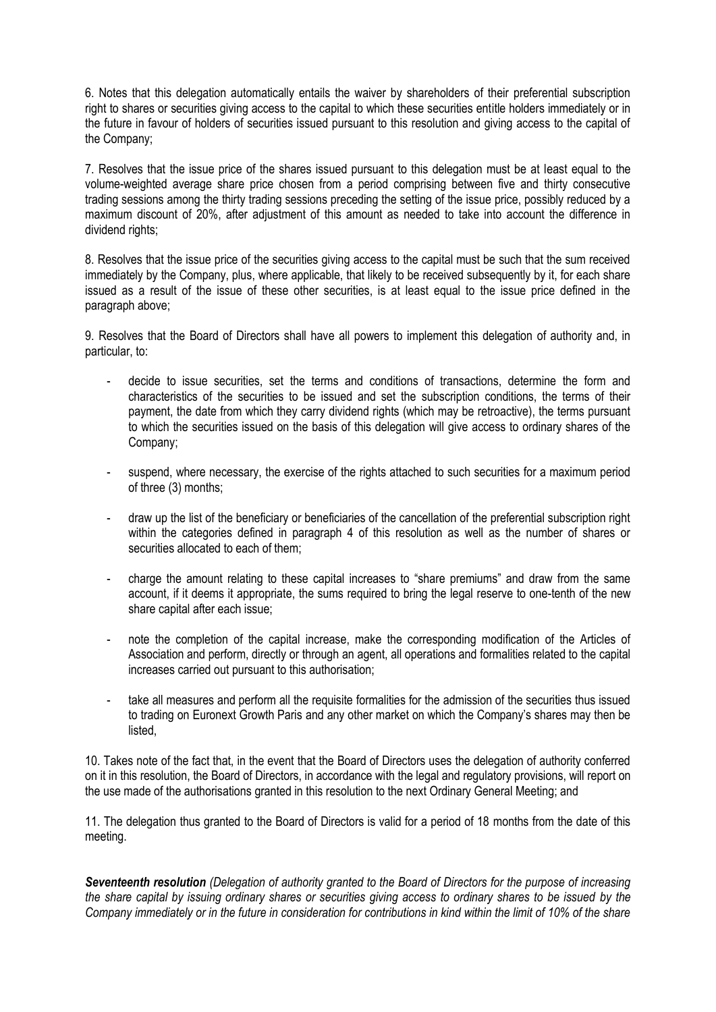6. Notes that this delegation automatically entails the waiver by shareholders of their preferential subscription right to shares or securities giving access to the capital to which these securities entitle holders immediately or in the future in favour of holders of securities issued pursuant to this resolution and giving access to the capital of the Company;

7. Resolves that the issue price of the shares issued pursuant to this delegation must be at least equal to the volume-weighted average share price chosen from a period comprising between five and thirty consecutive trading sessions among the thirty trading sessions preceding the setting of the issue price, possibly reduced by a maximum discount of 20%, after adjustment of this amount as needed to take into account the difference in dividend rights;

8. Resolves that the issue price of the securities giving access to the capital must be such that the sum received immediately by the Company, plus, where applicable, that likely to be received subsequently by it, for each share issued as a result of the issue of these other securities, is at least equal to the issue price defined in the paragraph above;

9. Resolves that the Board of Directors shall have all powers to implement this delegation of authority and, in particular, to:

- decide to issue securities, set the terms and conditions of transactions, determine the form and characteristics of the securities to be issued and set the subscription conditions, the terms of their payment, the date from which they carry dividend rights (which may be retroactive), the terms pursuant to which the securities issued on the basis of this delegation will give access to ordinary shares of the Company;
- suspend, where necessary, the exercise of the rights attached to such securities for a maximum period of three (3) months;
- draw up the list of the beneficiary or beneficiaries of the cancellation of the preferential subscription right within the categories defined in paragraph 4 of this resolution as well as the number of shares or securities allocated to each of them;
- charge the amount relating to these capital increases to "share premiums" and draw from the same account, if it deems it appropriate, the sums required to bring the legal reserve to one-tenth of the new share capital after each issue;
- note the completion of the capital increase, make the corresponding modification of the Articles of Association and perform, directly or through an agent, all operations and formalities related to the capital increases carried out pursuant to this authorisation;
- take all measures and perform all the requisite formalities for the admission of the securities thus issued to trading on Euronext Growth Paris and any other market on which the Company's shares may then be listed,

10. Takes note of the fact that, in the event that the Board of Directors uses the delegation of authority conferred on it in this resolution, the Board of Directors, in accordance with the legal and regulatory provisions, will report on the use made of the authorisations granted in this resolution to the next Ordinary General Meeting; and

11. The delegation thus granted to the Board of Directors is valid for a period of 18 months from the date of this meeting.

*Seventeenth resolution (Delegation of authority granted to the Board of Directors for the purpose of increasing the share capital by issuing ordinary shares or securities giving access to ordinary shares to be issued by the Company immediately or in the future in consideration for contributions in kind within the limit of 10% of the share*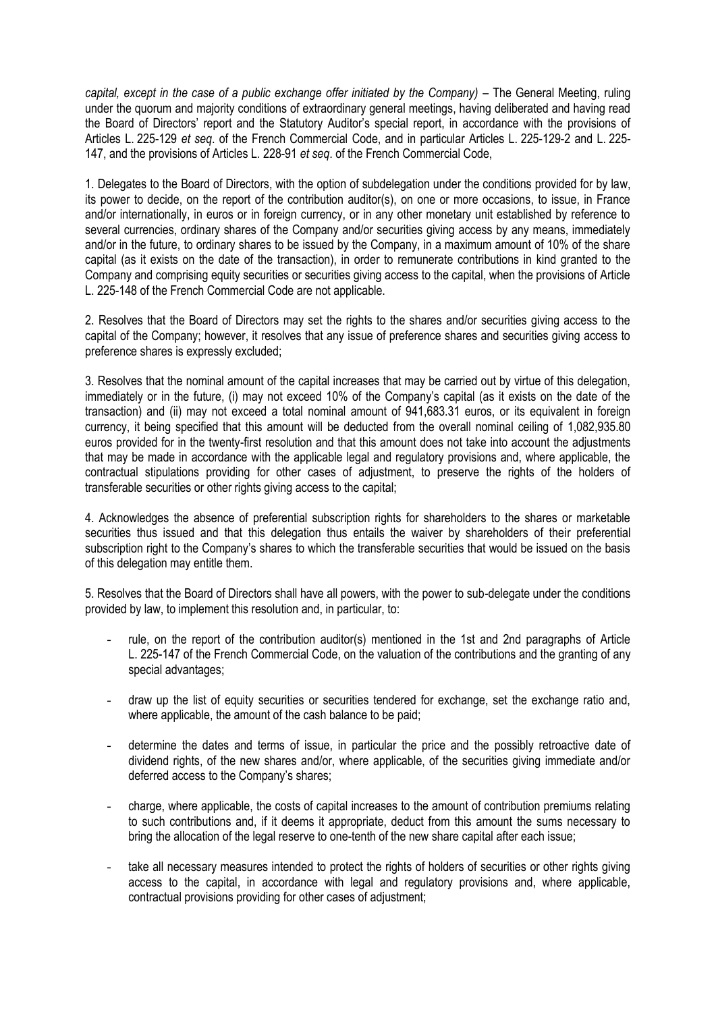*capital, except in the case of a public exchange offer initiated by the Company)* – The General Meeting, ruling under the quorum and majority conditions of extraordinary general meetings, having deliberated and having read the Board of Directors' report and the Statutory Auditor's special report, in accordance with the provisions of Articles L. 225-129 *et seq*. of the French Commercial Code, and in particular Articles L. 225-129-2 and L. 225- 147, and the provisions of Articles L. 228-91 *et seq*. of the French Commercial Code,

1. Delegates to the Board of Directors, with the option of subdelegation under the conditions provided for by law, its power to decide, on the report of the contribution auditor(s), on one or more occasions, to issue, in France and/or internationally, in euros or in foreign currency, or in any other monetary unit established by reference to several currencies, ordinary shares of the Company and/or securities giving access by any means, immediately and/or in the future, to ordinary shares to be issued by the Company, in a maximum amount of 10% of the share capital (as it exists on the date of the transaction), in order to remunerate contributions in kind granted to the Company and comprising equity securities or securities giving access to the capital, when the provisions of Article L. 225-148 of the French Commercial Code are not applicable.

2. Resolves that the Board of Directors may set the rights to the shares and/or securities giving access to the capital of the Company; however, it resolves that any issue of preference shares and securities giving access to preference shares is expressly excluded;

3. Resolves that the nominal amount of the capital increases that may be carried out by virtue of this delegation, immediately or in the future, (i) may not exceed 10% of the Company's capital (as it exists on the date of the transaction) and (ii) may not exceed a total nominal amount of 941,683.31 euros, or its equivalent in foreign currency, it being specified that this amount will be deducted from the overall nominal ceiling of 1,082,935.80 euros provided for in the twenty-first resolution and that this amount does not take into account the adjustments that may be made in accordance with the applicable legal and regulatory provisions and, where applicable, the contractual stipulations providing for other cases of adjustment, to preserve the rights of the holders of transferable securities or other rights giving access to the capital;

4. Acknowledges the absence of preferential subscription rights for shareholders to the shares or marketable securities thus issued and that this delegation thus entails the waiver by shareholders of their preferential subscription right to the Company's shares to which the transferable securities that would be issued on the basis of this delegation may entitle them.

5. Resolves that the Board of Directors shall have all powers, with the power to sub-delegate under the conditions provided by law, to implement this resolution and, in particular, to:

- rule, on the report of the contribution auditor(s) mentioned in the 1st and 2nd paragraphs of Article L. 225-147 of the French Commercial Code, on the valuation of the contributions and the granting of any special advantages;
- draw up the list of equity securities or securities tendered for exchange, set the exchange ratio and, where applicable, the amount of the cash balance to be paid;
- determine the dates and terms of issue, in particular the price and the possibly retroactive date of dividend rights, of the new shares and/or, where applicable, of the securities giving immediate and/or deferred access to the Company's shares;
- charge, where applicable, the costs of capital increases to the amount of contribution premiums relating to such contributions and, if it deems it appropriate, deduct from this amount the sums necessary to bring the allocation of the legal reserve to one-tenth of the new share capital after each issue;
- take all necessary measures intended to protect the rights of holders of securities or other rights giving access to the capital, in accordance with legal and regulatory provisions and, where applicable, contractual provisions providing for other cases of adjustment;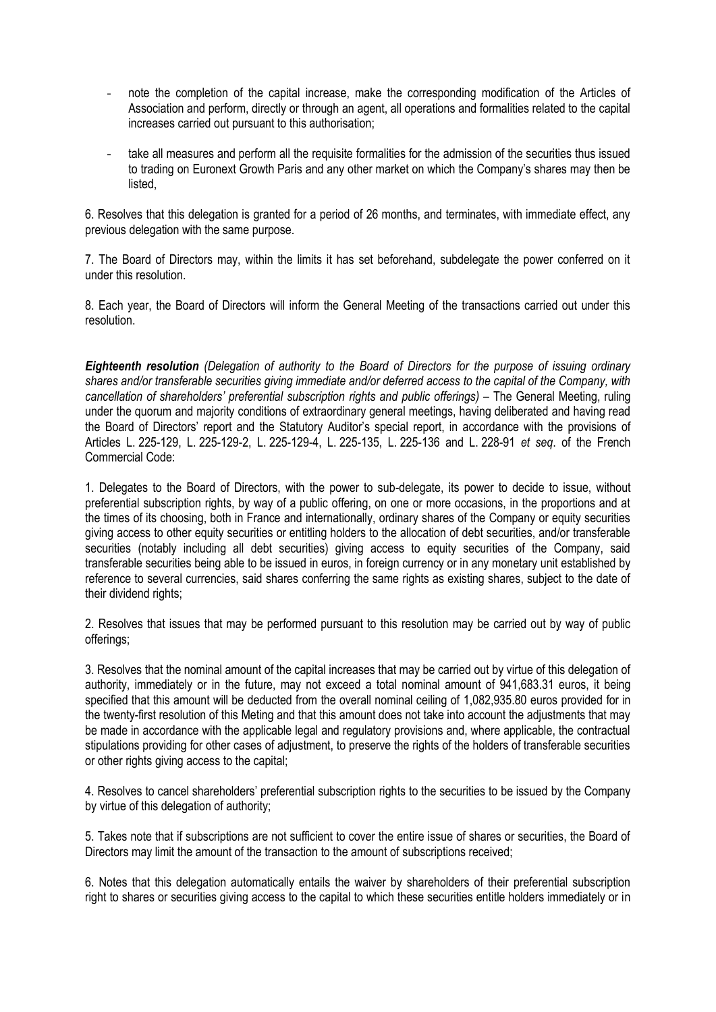- note the completion of the capital increase, make the corresponding modification of the Articles of Association and perform, directly or through an agent, all operations and formalities related to the capital increases carried out pursuant to this authorisation;
- take all measures and perform all the requisite formalities for the admission of the securities thus issued to trading on Euronext Growth Paris and any other market on which the Company's shares may then be listed,

6. Resolves that this delegation is granted for a period of 26 months, and terminates, with immediate effect, any previous delegation with the same purpose.

7. The Board of Directors may, within the limits it has set beforehand, subdelegate the power conferred on it under this resolution.

8. Each year, the Board of Directors will inform the General Meeting of the transactions carried out under this resolution.

*Eighteenth resolution (Delegation of authority to the Board of Directors for the purpose of issuing ordinary shares and/or transferable securities giving immediate and/or deferred access to the capital of the Company, with cancellation of shareholders' preferential subscription rights and public offerings)* – The General Meeting, ruling under the quorum and majority conditions of extraordinary general meetings, having deliberated and having read the Board of Directors' report and the Statutory Auditor's special report, in accordance with the provisions of Articles L. 225-129, L. 225-129-2, L. 225-129-4, L. 225-135, L. 225-136 and L. 228-91 *et seq*. of the French Commercial Code:

1. Delegates to the Board of Directors, with the power to sub-delegate, its power to decide to issue, without preferential subscription rights, by way of a public offering, on one or more occasions, in the proportions and at the times of its choosing, both in France and internationally, ordinary shares of the Company or equity securities giving access to other equity securities or entitling holders to the allocation of debt securities, and/or transferable securities (notably including all debt securities) giving access to equity securities of the Company, said transferable securities being able to be issued in euros, in foreign currency or in any monetary unit established by reference to several currencies, said shares conferring the same rights as existing shares, subject to the date of their dividend rights;

2. Resolves that issues that may be performed pursuant to this resolution may be carried out by way of public offerings;

3. Resolves that the nominal amount of the capital increases that may be carried out by virtue of this delegation of authority, immediately or in the future, may not exceed a total nominal amount of 941,683.31 euros, it being specified that this amount will be deducted from the overall nominal ceiling of 1,082,935.80 euros provided for in the twenty-first resolution of this Meting and that this amount does not take into account the adjustments that may be made in accordance with the applicable legal and regulatory provisions and, where applicable, the contractual stipulations providing for other cases of adjustment, to preserve the rights of the holders of transferable securities or other rights giving access to the capital:

4. Resolves to cancel shareholders' preferential subscription rights to the securities to be issued by the Company by virtue of this delegation of authority;

5. Takes note that if subscriptions are not sufficient to cover the entire issue of shares or securities, the Board of Directors may limit the amount of the transaction to the amount of subscriptions received;

6. Notes that this delegation automatically entails the waiver by shareholders of their preferential subscription right to shares or securities giving access to the capital to which these securities entitle holders immediately or in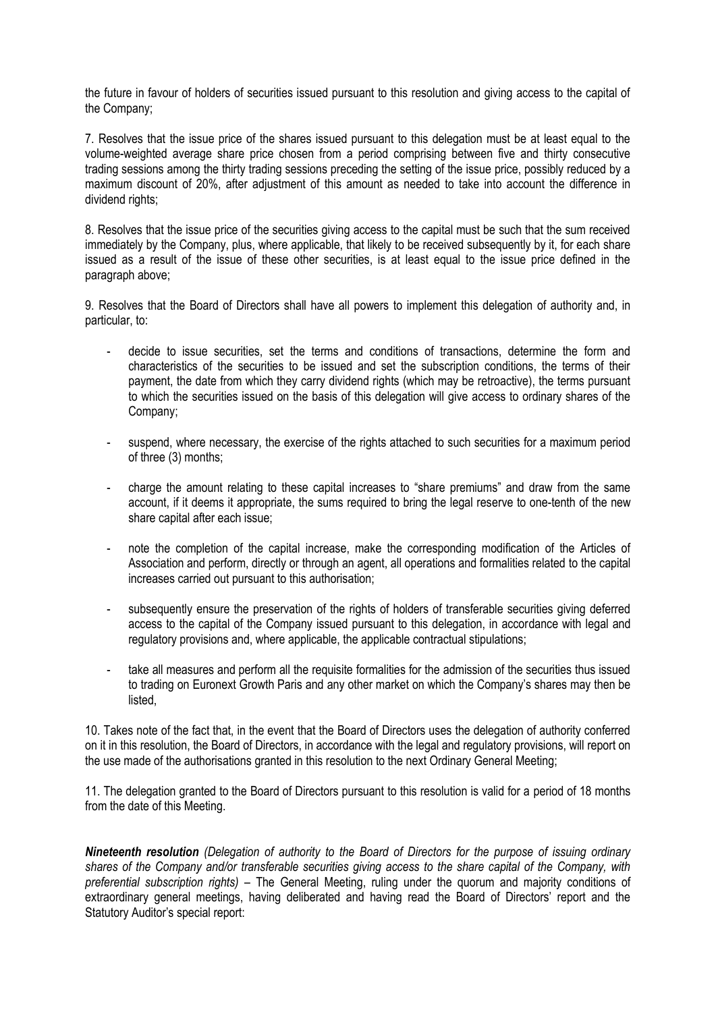the future in favour of holders of securities issued pursuant to this resolution and giving access to the capital of the Company;

7. Resolves that the issue price of the shares issued pursuant to this delegation must be at least equal to the volume-weighted average share price chosen from a period comprising between five and thirty consecutive trading sessions among the thirty trading sessions preceding the setting of the issue price, possibly reduced by a maximum discount of 20%, after adjustment of this amount as needed to take into account the difference in dividend rights:

8. Resolves that the issue price of the securities giving access to the capital must be such that the sum received immediately by the Company, plus, where applicable, that likely to be received subsequently by it, for each share issued as a result of the issue of these other securities, is at least equal to the issue price defined in the paragraph above;

9. Resolves that the Board of Directors shall have all powers to implement this delegation of authority and, in particular, to:

- decide to issue securities, set the terms and conditions of transactions, determine the form and characteristics of the securities to be issued and set the subscription conditions, the terms of their payment, the date from which they carry dividend rights (which may be retroactive), the terms pursuant to which the securities issued on the basis of this delegation will give access to ordinary shares of the Company;
- suspend, where necessary, the exercise of the rights attached to such securities for a maximum period of three (3) months;
- charge the amount relating to these capital increases to "share premiums" and draw from the same account, if it deems it appropriate, the sums required to bring the legal reserve to one-tenth of the new share capital after each issue;
- note the completion of the capital increase, make the corresponding modification of the Articles of Association and perform, directly or through an agent, all operations and formalities related to the capital increases carried out pursuant to this authorisation;
- subsequently ensure the preservation of the rights of holders of transferable securities giving deferred access to the capital of the Company issued pursuant to this delegation, in accordance with legal and regulatory provisions and, where applicable, the applicable contractual stipulations;
- take all measures and perform all the requisite formalities for the admission of the securities thus issued to trading on Euronext Growth Paris and any other market on which the Company's shares may then be listed,

10. Takes note of the fact that, in the event that the Board of Directors uses the delegation of authority conferred on it in this resolution, the Board of Directors, in accordance with the legal and regulatory provisions, will report on the use made of the authorisations granted in this resolution to the next Ordinary General Meeting;

11. The delegation granted to the Board of Directors pursuant to this resolution is valid for a period of 18 months from the date of this Meeting.

*Nineteenth resolution (Delegation of authority to the Board of Directors for the purpose of issuing ordinary shares of the Company and/or transferable securities giving access to the share capital of the Company, with preferential subscription rights)* – The General Meeting, ruling under the quorum and majority conditions of extraordinary general meetings, having deliberated and having read the Board of Directors' report and the Statutory Auditor's special report: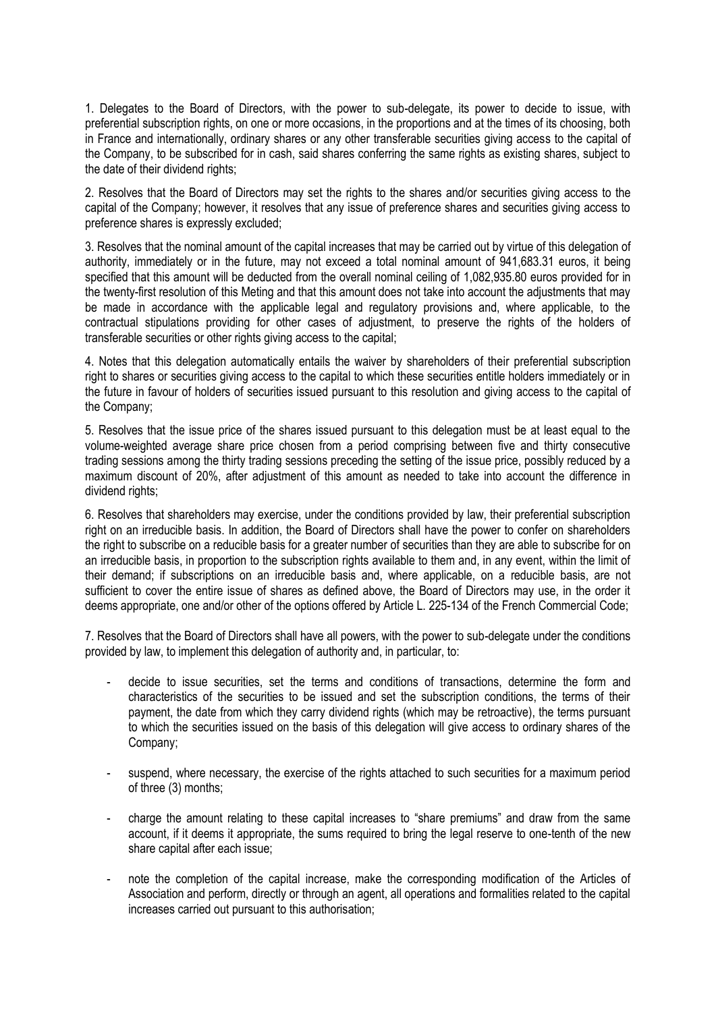1. Delegates to the Board of Directors, with the power to sub-delegate, its power to decide to issue, with preferential subscription rights, on one or more occasions, in the proportions and at the times of its choosing, both in France and internationally, ordinary shares or any other transferable securities giving access to the capital of the Company, to be subscribed for in cash, said shares conferring the same rights as existing shares, subject to the date of their dividend rights;

2. Resolves that the Board of Directors may set the rights to the shares and/or securities giving access to the capital of the Company; however, it resolves that any issue of preference shares and securities giving access to preference shares is expressly excluded;

3. Resolves that the nominal amount of the capital increases that may be carried out by virtue of this delegation of authority, immediately or in the future, may not exceed a total nominal amount of 941,683.31 euros, it being specified that this amount will be deducted from the overall nominal ceiling of 1,082,935.80 euros provided for in the twenty-first resolution of this Meting and that this amount does not take into account the adjustments that may be made in accordance with the applicable legal and regulatory provisions and, where applicable, to the contractual stipulations providing for other cases of adjustment, to preserve the rights of the holders of transferable securities or other rights giving access to the capital;

4. Notes that this delegation automatically entails the waiver by shareholders of their preferential subscription right to shares or securities giving access to the capital to which these securities entitle holders immediately or in the future in favour of holders of securities issued pursuant to this resolution and giving access to the capital of the Company;

5. Resolves that the issue price of the shares issued pursuant to this delegation must be at least equal to the volume-weighted average share price chosen from a period comprising between five and thirty consecutive trading sessions among the thirty trading sessions preceding the setting of the issue price, possibly reduced by a maximum discount of 20%, after adjustment of this amount as needed to take into account the difference in dividend rights;

6. Resolves that shareholders may exercise, under the conditions provided by law, their preferential subscription right on an irreducible basis. In addition, the Board of Directors shall have the power to confer on shareholders the right to subscribe on a reducible basis for a greater number of securities than they are able to subscribe for on an irreducible basis, in proportion to the subscription rights available to them and, in any event, within the limit of their demand; if subscriptions on an irreducible basis and, where applicable, on a reducible basis, are not sufficient to cover the entire issue of shares as defined above, the Board of Directors may use, in the order it deems appropriate, one and/or other of the options offered by Article L. 225-134 of the French Commercial Code;

7. Resolves that the Board of Directors shall have all powers, with the power to sub-delegate under the conditions provided by law, to implement this delegation of authority and, in particular, to:

- decide to issue securities, set the terms and conditions of transactions, determine the form and characteristics of the securities to be issued and set the subscription conditions, the terms of their payment, the date from which they carry dividend rights (which may be retroactive), the terms pursuant to which the securities issued on the basis of this delegation will give access to ordinary shares of the Company;
- suspend, where necessary, the exercise of the rights attached to such securities for a maximum period of three (3) months;
- charge the amount relating to these capital increases to "share premiums" and draw from the same account, if it deems it appropriate, the sums required to bring the legal reserve to one-tenth of the new share capital after each issue;
- note the completion of the capital increase, make the corresponding modification of the Articles of Association and perform, directly or through an agent, all operations and formalities related to the capital increases carried out pursuant to this authorisation;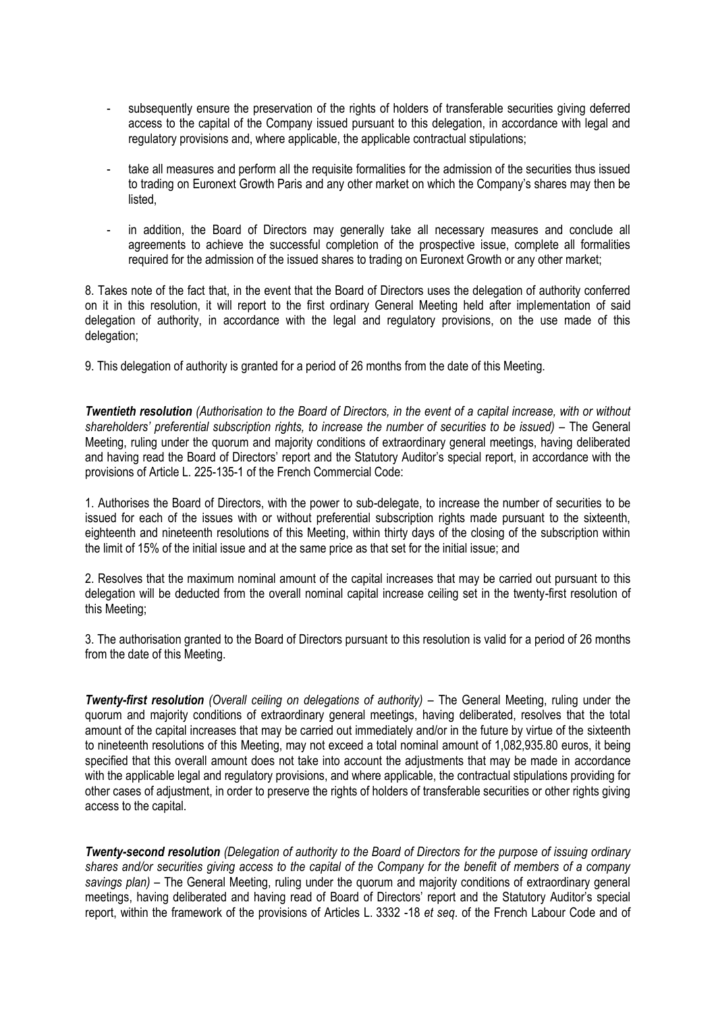- subsequently ensure the preservation of the rights of holders of transferable securities giving deferred access to the capital of the Company issued pursuant to this delegation, in accordance with legal and regulatory provisions and, where applicable, the applicable contractual stipulations;
- take all measures and perform all the requisite formalities for the admission of the securities thus issued to trading on Euronext Growth Paris and any other market on which the Company's shares may then be listed,
- in addition, the Board of Directors may generally take all necessary measures and conclude all agreements to achieve the successful completion of the prospective issue, complete all formalities required for the admission of the issued shares to trading on Euronext Growth or any other market;

8. Takes note of the fact that, in the event that the Board of Directors uses the delegation of authority conferred on it in this resolution, it will report to the first ordinary General Meeting held after implementation of said delegation of authority, in accordance with the legal and regulatory provisions, on the use made of this delegation;

9. This delegation of authority is granted for a period of 26 months from the date of this Meeting.

*Twentieth resolution (Authorisation to the Board of Directors, in the event of a capital increase, with or without*  shareholders' preferential subscription rights, to increase the number of securities to be issued) – The General Meeting, ruling under the quorum and majority conditions of extraordinary general meetings, having deliberated and having read the Board of Directors' report and the Statutory Auditor's special report, in accordance with the provisions of Article L. 225-135-1 of the French Commercial Code:

1. Authorises the Board of Directors, with the power to sub-delegate, to increase the number of securities to be issued for each of the issues with or without preferential subscription rights made pursuant to the sixteenth, eighteenth and nineteenth resolutions of this Meeting, within thirty days of the closing of the subscription within the limit of 15% of the initial issue and at the same price as that set for the initial issue; and

2. Resolves that the maximum nominal amount of the capital increases that may be carried out pursuant to this delegation will be deducted from the overall nominal capital increase ceiling set in the twenty-first resolution of this Meeting;

3. The authorisation granted to the Board of Directors pursuant to this resolution is valid for a period of 26 months from the date of this Meeting.

*Twenty-first resolution (Overall ceiling on delegations of authority) – The General Meeting, ruling under the* quorum and majority conditions of extraordinary general meetings, having deliberated, resolves that the total amount of the capital increases that may be carried out immediately and/or in the future by virtue of the sixteenth to nineteenth resolutions of this Meeting, may not exceed a total nominal amount of 1,082,935.80 euros, it being specified that this overall amount does not take into account the adjustments that may be made in accordance with the applicable legal and regulatory provisions, and where applicable, the contractual stipulations providing for other cases of adjustment, in order to preserve the rights of holders of transferable securities or other rights giving access to the capital.

*Twenty-second resolution (Delegation of authority to the Board of Directors for the purpose of issuing ordinary shares and/or securities giving access to the capital of the Company for the benefit of members of a company savings plan)* – The General Meeting, ruling under the quorum and majority conditions of extraordinary general meetings, having deliberated and having read of Board of Directors' report and the Statutory Auditor's special report, within the framework of the provisions of Articles L. 3332 -18 *et seq*. of the French Labour Code and of